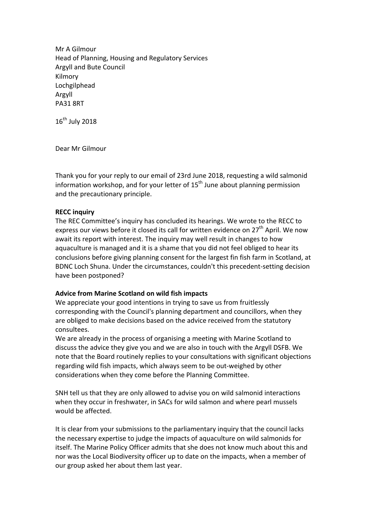Mr A Gilmour Head of Planning, Housing and Regulatory Services Argyll and Bute Council Kilmory Lochgilphead Argyll PA31 8RT

 $16^{\text{th}}$  July 2018

Dear Mr Gilmour

Thank you for your reply to our email of 23rd June 2018, requesting a wild salmonid information workshop, and for your letter of  $15<sup>th</sup>$  June about planning permission and the precautionary principle.

# **RECC inquiry**

The REC Committee's inquiry has concluded its hearings. We wrote to the RECC to express our views before it closed its call for written evidence on 27<sup>th</sup> April. We now await its report with interest. The inquiry may well result in changes to how aquaculture is managed and it is a shame that you did not feel obliged to hear its conclusions before giving planning consent for the largest fin fish farm in Scotland, at BDNC Loch Shuna. Under the circumstances, couldn't this precedent-setting decision have been postponed?

# **Advice from Marine Scotland on wild fish impacts**

We appreciate your good intentions in trying to save us from fruitlessly corresponding with the Council's planning department and councillors, when they are obliged to make decisions based on the advice received from the statutory consultees. 

We are already in the process of organising a meeting with Marine Scotland to discuss the advice they give you and we are also in touch with the Argyll DSFB. We note that the Board routinely replies to your consultations with significant objections regarding wild fish impacts, which always seem to be out-weighed by other considerations when they come before the Planning Committee.

SNH tell us that they are only allowed to advise you on wild salmonid interactions when they occur in freshwater, in SACs for wild salmon and where pearl mussels would be affected.

It is clear from your submissions to the parliamentary inquiry that the council lacks the necessary expertise to judge the impacts of aquaculture on wild salmonids for itself. The Marine Policy Officer admits that she does not know much about this and nor was the Local Biodiversity officer up to date on the impacts, when a member of our group asked her about them last year.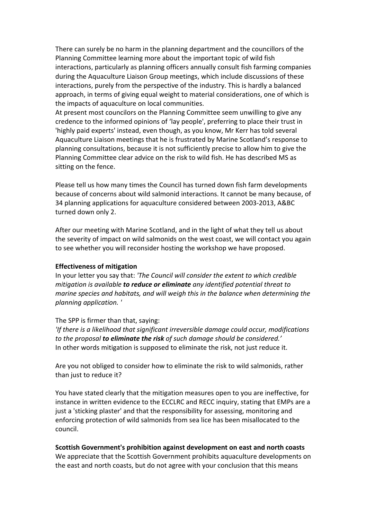There can surely be no harm in the planning department and the councillors of the Planning Committee learning more about the important topic of wild fish interactions, particularly as planning officers annually consult fish farming companies during the Aquaculture Liaison Group meetings, which include discussions of these interactions, purely from the perspective of the industry. This is hardly a balanced approach, in terms of giving equal weight to material considerations, one of which is the impacts of aquaculture on local communities.

At present most councilors on the Planning Committee seem unwilling to give any credence to the informed opinions of 'lay people', preferring to place their trust in 'highly paid experts' instead, even though, as you know, Mr Kerr has told several Aquaculture Liaison meetings that he is frustrated by Marine Scotland's response to planning consultations, because it is not sufficiently precise to allow him to give the Planning Committee clear advice on the risk to wild fish. He has described MS as sitting on the fence.

Please tell us how many times the Council has turned down fish farm developments because of concerns about wild salmonid interactions. It cannot be many because, of 34 planning applications for aquaculture considered between 2003-2013, A&BC turned down only 2.

After our meeting with Marine Scotland, and in the light of what they tell us about the severity of impact on wild salmonids on the west coast, we will contact you again to see whether you will reconsider hosting the workshop we have proposed.

## **Effectiveness of mitigation**

In your letter you say that: 'The Council will consider the extent to which credible *mitigation is available to reduce or eliminate any identified potential threat to marine species and habitats, and will weigh this in the balance when determining the planning application. '*

## The SPP is firmer than that, saying:

*'If there is a likelihood that significant irreversible damage could occur, modifications* to the proposal **to eliminate the risk** of such damage should be considered.' In other words mitigation is supposed to eliminate the risk, not just reduce it.

Are you not obliged to consider how to eliminate the risk to wild salmonids, rather than just to reduce it?

You have stated clearly that the mitigation measures open to you are ineffective, for instance in written evidence to the ECCLRC and RECC inquiry, stating that EMPs are a just a 'sticking plaster' and that the responsibility for assessing, monitoring and enforcing protection of wild salmonids from sea lice has been misallocated to the council.

# **Scottish Government's prohibition against development on east and north coasts**

We appreciate that the Scottish Government prohibits aquaculture developments on the east and north coasts, but do not agree with your conclusion that this means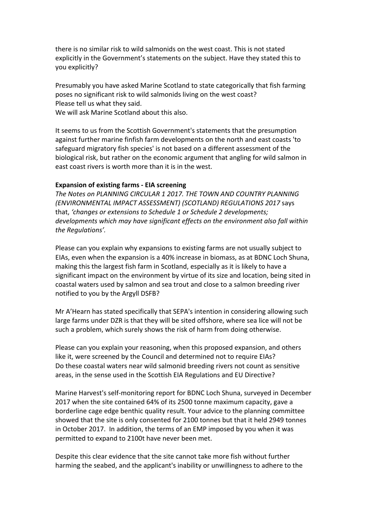there is no similar risk to wild salmonids on the west coast. This is not stated explicitly in the Government's statements on the subject. Have they stated this to you explicitly?

Presumably you have asked Marine Scotland to state categorically that fish farming poses no significant risk to wild salmonids living on the west coast? Please tell us what they said.

We will ask Marine Scotland about this also.

It seems to us from the Scottish Government's statements that the presumption against further marine finfish farm developments on the north and east coasts 'to safeguard migratory fish species' is not based on a different assessment of the biological risk, but rather on the economic argument that angling for wild salmon in east coast rivers is worth more than it is in the west.

## **Expansion of existing farms - EIA screening**

*The Notes on PLANNING CIRCULAR 1 2017. THE TOWN AND COUNTRY PLANNING (ENVIRONMENTAL IMPACT ASSESSMENT) (SCOTLAND) REGULATIONS 2017* says that, 'changes or extensions to Schedule 1 or Schedule 2 developments; *developments* which may have significant effects on the environment also fall within *the Regulations'.*

Please can you explain why expansions to existing farms are not usually subject to EIAs, even when the expansion is a 40% increase in biomass, as at BDNC Loch Shuna, making this the largest fish farm in Scotland, especially as it is likely to have a significant impact on the environment by virtue of its size and location, being sited in coastal waters used by salmon and sea trout and close to a salmon breeding river notified to you by the Argyll DSFB?

Mr A'Hearn has stated specifically that SEPA's intention in considering allowing such large farms under DZR is that they will be sited offshore, where sea lice will not be such a problem, which surely shows the risk of harm from doing otherwise.

Please can you explain your reasoning, when this proposed expansion, and others like it, were screened by the Council and determined not to require EIAs? Do these coastal waters near wild salmonid breeding rivers not count as sensitive areas, in the sense used in the Scottish EIA Regulations and EU Directive?

Marine Harvest's self-monitoring report for BDNC Loch Shuna, surveyed in December 2017 when the site contained 64% of its 2500 tonne maximum capacity, gave a borderline cage edge benthic quality result. Your advice to the planning committee showed that the site is only consented for 2100 tonnes but that it held 2949 tonnes in October 2017. In addition, the terms of an EMP imposed by you when it was permitted to expand to 2100t have never been met.

Despite this clear evidence that the site cannot take more fish without further harming the seabed, and the applicant's inability or unwillingness to adhere to the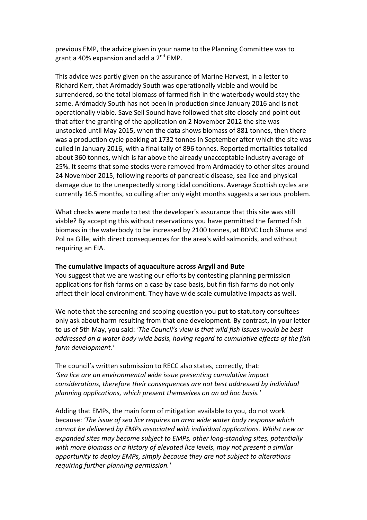previous EMP, the advice given in your name to the Planning Committee was to grant a 40% expansion and add a  $2^{nd}$  EMP.

This advice was partly given on the assurance of Marine Harvest, in a letter to Richard Kerr, that Ardmaddy South was operationally viable and would be surrendered, so the total biomass of farmed fish in the waterbody would stay the same. Ardmaddy South has not been in production since January 2016 and is not operationally viable. Save Seil Sound have followed that site closely and point out that after the granting of the application on 2 November 2012 the site was unstocked until May 2015, when the data shows biomass of 881 tonnes, then there was a production cycle peaking at 1732 tonnes in September after which the site was culled in January 2016, with a final tally of 896 tonnes. Reported mortalities totalled about 360 tonnes, which is far above the already unacceptable industry average of 25%. It seems that some stocks were removed from Ardmaddy to other sites around 24 November 2015, following reports of pancreatic disease, sea lice and physical damage due to the unexpectedly strong tidal conditions. Average Scottish cycles are currently 16.5 months, so culling after only eight months suggests a serious problem.

What checks were made to test the developer's assurance that this site was still viable? By accepting this without reservations you have permitted the farmed fish biomass in the waterbody to be increased by 2100 tonnes, at BDNC Loch Shuna and Pol na Gille, with direct consequences for the area's wild salmonids, and without requiring an EIA.

## The cumulative impacts of aquaculture across Argyll and Bute

You suggest that we are wasting our efforts by contesting planning permission applications for fish farms on a case by case basis, but fin fish farms do not only affect their local environment. They have wide scale cumulative impacts as well.

We note that the screening and scoping question you put to statutory consultees only ask about harm resulting from that one development. By contrast, in your letter to us of 5th May, you said: 'The Council's view is that wild fish issues would be best addressed on a water body wide basis, having regard to cumulative effects of the fish *farm development.'*

The council's written submission to RECC also states, correctly, that: 'Sea lice are an environmental wide *issue* presenting cumulative impact *considerations, therefore their consequences are not best addressed by individual* planning applications, which present themselves on an ad hoc basis.'

Adding that EMPs, the main form of mitigation available to you, do not work because: *'The issue of sea lice requires an area wide water body response which* cannot be delivered by EMPs associated with individual applications. Whilst new or *expanded sites may become subject to EMPs, other long-standing sites, potentially* with more biomass or a history of elevated lice levels, may not present a similar *opportunity* to deploy EMPs, simply because they are not subject to alterations *requiring further planning permission.'*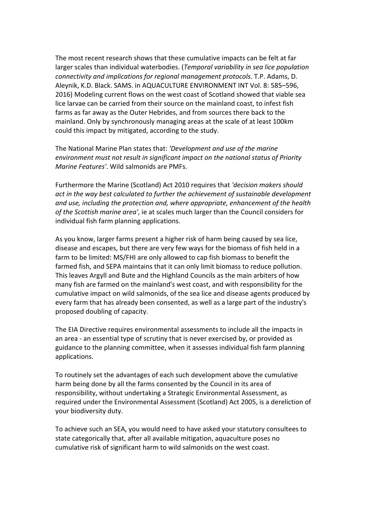The most recent research shows that these cumulative impacts can be felt at far larger scales than individual waterbodies. (*Temporal variability in sea lice population connectivity and implications for regional management protocols*. T.P. Adams, D. Aleynik, K.D. Black. SAMS. in AQUACULTURE ENVIRONMENT INT Vol. 8: 585-596, 2016) Modeling current flows on the west coast of Scotland showed that viable sea lice larvae can be carried from their source on the mainland coast, to infest fish farms as far away as the Outer Hebrides, and from sources there back to the mainland. Only by synchronously managing areas at the scale of at least 100km could this impact by mitigated, according to the study.

The National Marine Plan states that: 'Development and use of the marine *environment must not result in significant impact on the national status of Priority Marine Features'.* Wild salmonids are PMFs.

Furthermore the Marine (Scotland) Act 2010 requires that 'decision makers should *act in the way best calculated to further the achievement of sustainable development and use, including the protection and, where appropriate, enhancement of the health* of the Scottish marine area', ie at scales much larger than the Council considers for individual fish farm planning applications.

As you know, larger farms present a higher risk of harm being caused by sea lice, disease and escapes, but there are very few ways for the biomass of fish held in a farm to be limited: MS/FHI are only allowed to cap fish biomass to benefit the farmed fish, and SEPA maintains that it can only limit biomass to reduce pollution. This leaves Argyll and Bute and the Highland Councils as the main arbiters of how many fish are farmed on the mainland's west coast, and with responsibility for the cumulative impact on wild salmonids, of the sea lice and disease agents produced by every farm that has already been consented, as well as a large part of the industry's proposed doubling of capacity.

The EIA Directive requires environmental assessments to include all the impacts in an area - an essential type of scrutiny that is never exercised by, or provided as guidance to the planning committee, when it assesses individual fish farm planning applications.

To routinely set the advantages of each such development above the cumulative harm being done by all the farms consented by the Council in its area of responsibility, without undertaking a Strategic Environmental Assessment, as required under the Environmental Assessment (Scotland) Act 2005, is a dereliction of your biodiversity duty.

To achieve such an SEA, you would need to have asked your statutory consultees to state categorically that, after all available mitigation, aquaculture poses no cumulative risk of significant harm to wild salmonids on the west coast.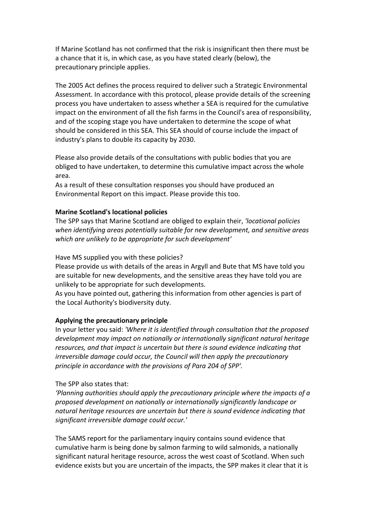If Marine Scotland has not confirmed that the risk is insignificant then there must be a chance that it is, in which case, as you have stated clearly (below), the precautionary principle applies.

The 2005 Act defines the process required to deliver such a Strategic Environmental Assessment. In accordance with this protocol, please provide details of the screening process you have undertaken to assess whether a SEA is required for the cumulative impact on the environment of all the fish farms in the Council's area of responsibility, and of the scoping stage you have undertaken to determine the scope of what should be considered in this SEA. This SEA should of course include the impact of industry's plans to double its capacity by 2030.

Please also provide details of the consultations with public bodies that you are obliged to have undertaken, to determine this cumulative impact across the whole area. 

As a result of these consultation responses you should have produced an Environmental Report on this impact. Please provide this too.

# **Marine Scotland's locational policies**

The SPP says that Marine Scotland are obliged to explain their, *'locational policies* when *identifying areas potentially suitable for new development, and sensitive areas* which are unlikely to be appropriate for such development'

Have MS supplied you with these policies?

Please provide us with details of the areas in Argyll and Bute that MS have told you are suitable for new developments, and the sensitive areas they have told you are unlikely to be appropriate for such developments.

As you have pointed out, gathering this information from other agencies is part of the Local Authority's biodiversity duty.

# Applying the precautionary principle

In your letter you said: 'Where it is identified through consultation that the proposed development may impact on nationally or internationally significant natural heritage *resources, and that impact is uncertain but there is sound evidence indicating that irreversible damage could occur, the Council will then apply the precautionary* principle in accordance with the provisions of Para 204 of SPP'.

# The SPP also states that:

*'Planning authorities should apply the precautionary principle where the impacts of a proposed development on nationally or internationally significantly landscape or*  natural heritage resources are uncertain but there is sound evidence indicating that *significant irreversible damage could occur.'*

The SAMS report for the parliamentary inquiry contains sound evidence that cumulative harm is being done by salmon farming to wild salmonids, a nationally significant natural heritage resource, across the west coast of Scotland. When such evidence exists but you are uncertain of the impacts, the SPP makes it clear that it is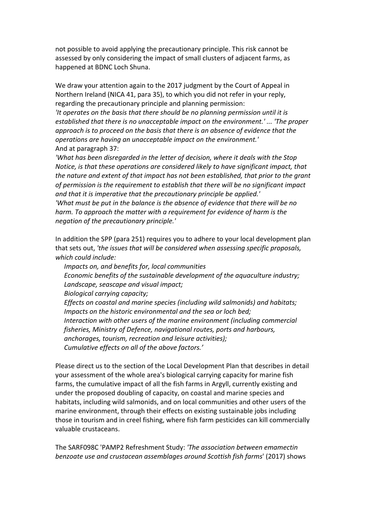not possible to avoid applying the precautionary principle. This risk cannot be assessed by only considering the impact of small clusters of adjacent farms, as happened at BDNC Loch Shuna.

We draw your attention again to the 2017 judgment by the Court of Appeal in Northern Ireland (NICA 41, para 35), to which you did not refer in your reply, regarding the precautionary principle and planning permission:

*'It operates on the basis that there should be no planning permission until it is* established that there is no unacceptable impact on the environment.' ... 'The proper approach is to proceed on the basis that there is an absence of evidence that the *operations are having an unacceptable impact on the environment.'* And at paragraph 37:

*'What has been disregarded in the letter of decision, where it deals with the Stop Notice, is that these operations are considered likely to have significant impact, that the nature and extent of that impact has not been established, that prior to the grant* of permission is the requirement to establish that there will be no significant impact and that it is imperative that the precautionary principle be applied.' *'What must be put in the balance is the absence of evidence that there will be no harm.* To approach the matter with a requirement for evidence of harm is the *negation of the precautionary principle.'*

In addition the SPP (para 251) requires you to adhere to your local development plan that sets out, 'the issues that will be considered when assessing specific proposals, which could include:

*Impacts on, and benefits for, local communities Economic benefits of the sustainable development of the aquaculture industry;* Landscape, seascape and visual impact; **Biological carrying capacity;** *Effects on coastal and marine species (including wild salmonids) and habitats; Impacts on the historic environmental and the sea or loch bed; Interaction with other users of the marine environment (including commercial fisheries, Ministry of Defence, navigational routes, ports and harbours,* anchorages, tourism, recreation and leisure activities); Cumulative effects on all of the above factors.'

Please direct us to the section of the Local Development Plan that describes in detail your assessment of the whole area's biological carrying capacity for marine fish farms, the cumulative impact of all the fish farms in Argyll, currently existing and under the proposed doubling of capacity, on coastal and marine species and habitats, including wild salmonids, and on local communities and other users of the marine environment, through their effects on existing sustainable jobs including those in tourism and in creel fishing, where fish farm pesticides can kill commercially valuable crustaceans.

The SARF098C 'PAMP2 Refreshment Study: 'The association between emamectin *benzoate use and crustacean assemblages around Scottish fish farms'* (2017) shows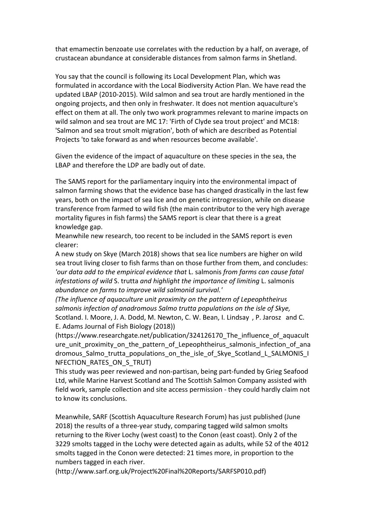that emamectin benzoate use correlates with the reduction by a half, on average, of crustacean abundance at considerable distances from salmon farms in Shetland.

You say that the council is following its Local Development Plan, which was formulated in accordance with the Local Biodiversity Action Plan. We have read the updated LBAP (2010-2015). Wild salmon and sea trout are hardly mentioned in the ongoing projects, and then only in freshwater. It does not mention aquaculture's effect on them at all. The only two work programmes relevant to marine impacts on wild salmon and sea trout are MC 17: 'Firth of Clyde sea trout project' and MC18: 'Salmon and sea trout smolt migration', both of which are described as Potential Projects 'to take forward as and when resources become available'.

Given the evidence of the impact of aquaculture on these species in the sea, the LBAP and therefore the LDP are badly out of date.

The SAMS report for the parliamentary inquiry into the environmental impact of salmon farming shows that the evidence base has changed drastically in the last few years, both on the impact of sea lice and on genetic introgression, while on disease transference from farmed to wild fish (the main contributor to the very high average mortality figures in fish farms) the SAMS report is clear that there is a great knowledge gap.

Meanwhile new research, too recent to be included in the SAMS report is even clearer: 

A new study on Skye (March 2018) shows that sea lice numbers are higher on wild sea trout living closer to fish farms than on those further from them, and concludes: *'our data add to the empirical evidence that* L. salmonis *from farms can cause fatal infestations of wild S. trutta and highlight the importance of limiting L. salmonis abundance on farms to improve wild salmonid survival.'*

*(The influence of aquaculture unit proximity on the pattern of Lepeophtheirus* salmonis infection of anadromous Salmo trutta populations on the isle of Skye, Scotland. I. Moore, J. A. Dodd, M. Newton, C. W. Bean, I. Lindsay, P. Jarosz and C. E. Adams Journal of Fish Biology (2018))

(https://www.researchgate.net/publication/324126170\_The\_influence\_of\_aquacult ure unit proximity on the pattern of Lepeophtheirus salmonis infection of ana dromous Salmo trutta populations on the isle of Skye Scotland L SALMONIS I NFECTION RATES ON S TRUT)

This study was peer reviewed and non-partisan, being part-funded by Grieg Seafood Ltd, while Marine Harvest Scotland and The Scottish Salmon Company assisted with field work, sample collection and site access permission - they could hardly claim not to know its conclusions.

Meanwhile, SARF (Scottish Aquaculture Research Forum) has just published (June 2018) the results of a three-year study, comparing tagged wild salmon smolts returning to the River Lochy (west coast) to the Conon (east coast). Only 2 of the 3229 smolts tagged in the Lochy were detected again as adults, while 52 of the 4012 smolts tagged in the Conon were detected: 21 times more, in proportion to the numbers tagged in each river.

(http://www.sarf.org.uk/Project%20Final%20Reports/SARFSP010.pdf)